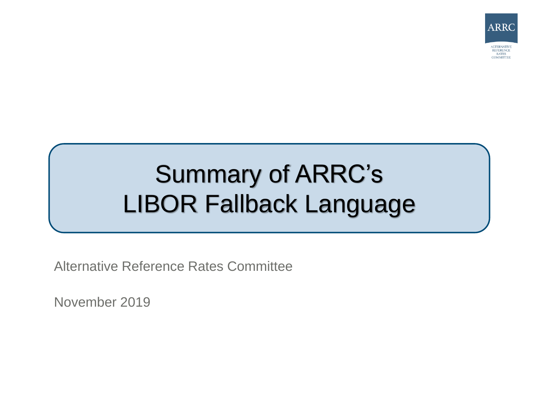

# Summary of ARRC's LIBOR Fallback Language

Alternative Reference Rates Committee

November 2019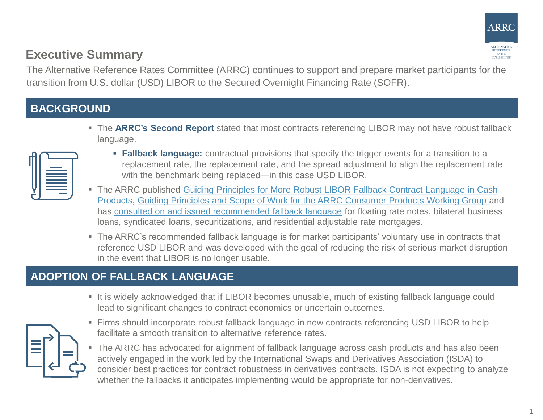

### **Executive Summary**

The Alternative Reference Rates Committee (ARRC) continues to support and prepare market participants for the transition from U.S. dollar (USD) LIBOR to the Secured Overnight Financing Rate (SOFR).

#### **BACKGROUND**

 The **ARRC's Second Report** stated that most contracts referencing LIBOR may not have robust fallback language.

- **Fallback language:** contractual provisions that specify the trigger events for a transition to a replacement rate, the replacement rate, and the spread adjustment to align the replacement rate with the benchmark being replaced—in this case USD LIBOR.
- The ARRC published Guiding Principles for More Robust LIBOR Fallback Contract Language in Cash [Products, Guiding Principles and Scope of Work for the ARRC Consumer Products Working Group an](https://www.newyorkfed.org/medialibrary/Microsites/arrc/files/2018/ARRC-principles-July2018)d has [consulted on and issued recommended fallback language](https://www.newyorkfed.org/arrc/fallbacks-contract-language) for floating rate notes, bilateral business loans, syndicated loans, securitizations, and residential adjustable rate mortgages.
- The ARRC's recommended fallback language is for market participants' voluntary use in contracts that reference USD LIBOR and was developed with the goal of reducing the risk of serious market disruption in the event that LIBOR is no longer usable.

### **ADOPTION OF FALLBACK LANGUAGE**

- 
- It is widely acknowledged that if LIBOR becomes unusable, much of existing fallback language could lead to significant changes to contract economics or uncertain outcomes.
- **Firms should incorporate robust fallback language in new contracts referencing USD LIBOR to help** facilitate a smooth transition to alternative reference rates.
- The ARRC has advocated for alignment of fallback language across cash products and has also been actively engaged in the work led by the International Swaps and Derivatives Association (ISDA) to consider best practices for contract robustness in derivatives contracts. ISDA is not expecting to analyze whether the fallbacks it anticipates implementing would be appropriate for non-derivatives.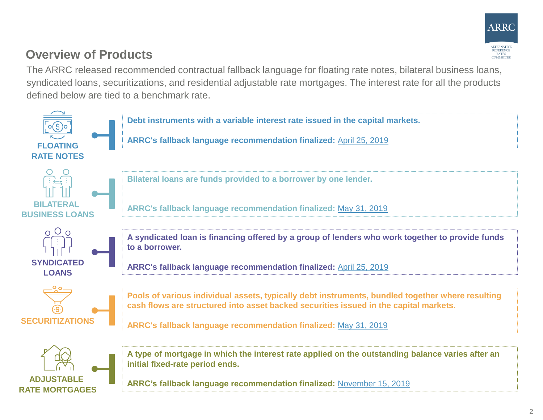

## **Overview of Products**

The ARRC released recommended contractual fallback language for floating rate notes, bilateral business loans, syndicated loans, securitizations, and residential adjustable rate mortgages. The interest rate for all the products defined below are tied to a benchmark rate.

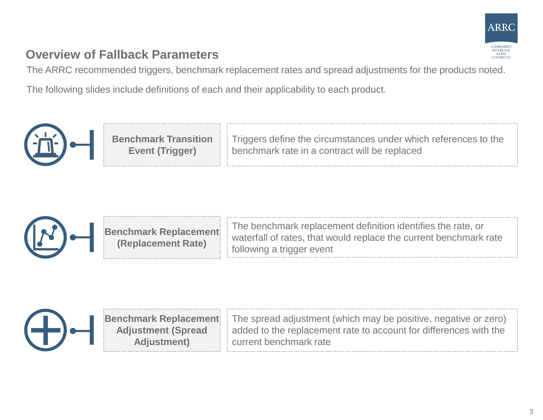

## **Overview of Fallback Parameters**

The ARRC recommended triggers, benchmark replacement rates and spread adjustments for the products noted.

The following slides include definitions of each and their applicability to each product.





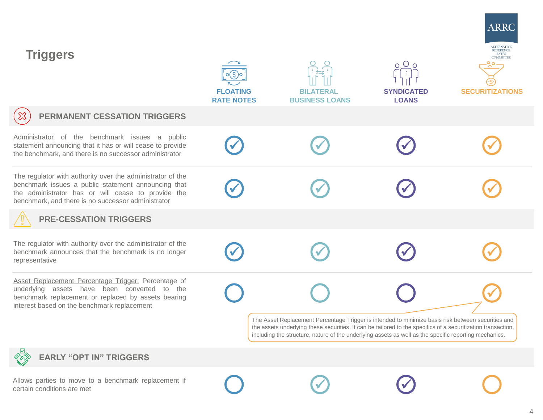| <b>Triggers</b>                                                                                                                                                                                                               | <b>FLOATING</b><br><b>RATE NOTES</b> | <b>BILATERAL</b><br><b>BUSINESS LOANS</b>                                                                                                                                                                                                                                                                                   | $\circ$ $\circ$<br>$\circ$<br><b>SYNDICATED</b><br><b>LOANS</b> | ARRC<br>ALTERNATIVE<br>REFERENCE<br>RATES<br>COMMITTEE<br><b>SECURITIZATIONS</b> |
|-------------------------------------------------------------------------------------------------------------------------------------------------------------------------------------------------------------------------------|--------------------------------------|-----------------------------------------------------------------------------------------------------------------------------------------------------------------------------------------------------------------------------------------------------------------------------------------------------------------------------|-----------------------------------------------------------------|----------------------------------------------------------------------------------|
| $\otimes$<br><b>PERMANENT CESSATION TRIGGERS</b>                                                                                                                                                                              |                                      |                                                                                                                                                                                                                                                                                                                             |                                                                 |                                                                                  |
| Administrator of the benchmark issues a public<br>statement announcing that it has or will cease to provide<br>the benchmark, and there is no successor administrator                                                         |                                      |                                                                                                                                                                                                                                                                                                                             |                                                                 |                                                                                  |
| The regulator with authority over the administrator of the<br>benchmark issues a public statement announcing that<br>the administrator has or will cease to provide the<br>benchmark, and there is no successor administrator |                                      |                                                                                                                                                                                                                                                                                                                             |                                                                 |                                                                                  |
| <b>PRE-CESSATION TRIGGERS</b>                                                                                                                                                                                                 |                                      |                                                                                                                                                                                                                                                                                                                             |                                                                 |                                                                                  |
| The regulator with authority over the administrator of the<br>benchmark announces that the benchmark is no longer<br>representative                                                                                           |                                      |                                                                                                                                                                                                                                                                                                                             |                                                                 |                                                                                  |
| Asset Replacement Percentage Trigger: Percentage of<br>underlying assets have been converted to the<br>benchmark replacement or replaced by assets bearing<br>interest based on the benchmark replacement                     |                                      |                                                                                                                                                                                                                                                                                                                             |                                                                 |                                                                                  |
|                                                                                                                                                                                                                               |                                      | The Asset Replacement Percentage Trigger is intended to minimize basis risk between securities and<br>the assets underlying these securities. It can be tailored to the specifics of a securitization transaction,<br>including the structure, nature of the underlying assets as well as the specific reporting mechanics. |                                                                 |                                                                                  |
| <b>EARLY "OPT IN" TRIGGERS</b>                                                                                                                                                                                                |                                      |                                                                                                                                                                                                                                                                                                                             |                                                                 |                                                                                  |

Allows parties to move to a benchmark replacement if<br>
certain conditions are met  $\bigodot$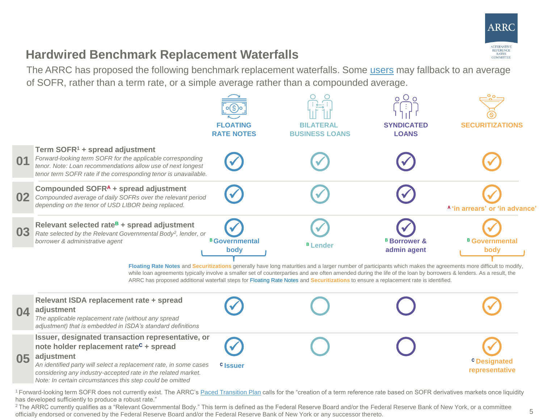

#### **Hardwired Benchmark Replacement Waterfalls**

The ARRC has proposed the following benchmark replacement waterfalls. Some [users](https://www.newyorkfed.org/medialibrary/Microsites/arrc/files/2019/Users_Guide_to_SOFR.pdf) may fallback to an average of SOFR, rather than a term rate, or a simple average rather than a compounded average.



<sup>1</sup> Forward-looking term SOFR does not currently exist. The ARRC's [Paced Transition Plan](https://www.newyorkfed.org/arrc/sofr-transition#pacedtransition) calls for the "creation of a term reference rate based on SOFR derivatives markets once liquidity has developed sufficiently to produce a robust rate."

<sup>2</sup> The ARRC currently qualifies as a "Relevant Governmental Body." This term is defined as the Federal Reserve Board and/or the Federal Reserve Bank of New York, or a committee officially endorsed or convened by the Federal Reserve Board and/or the Federal Reserve Bank of New York or any successor thereto.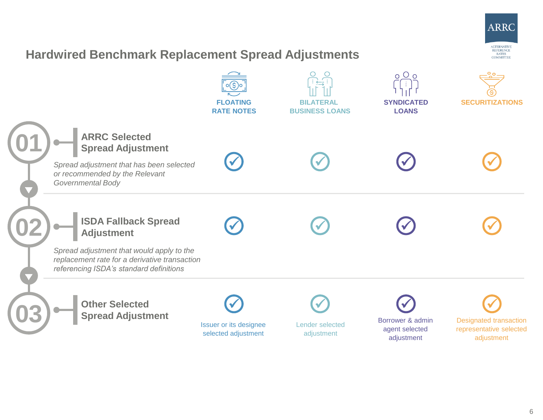

#### **Hardwired Benchmark Replacement Spread Adjustments**

|                                                                                                                                                                                           | <b>FLOATING</b><br><b>RATE NOTES</b>          | <b>BILATERAL</b><br><b>BUSINESS LOANS</b> | 0 <sup>0</sup><br><b>SYNDICATED</b><br><b>LOANS</b> | <b>SECURITIZATIONS</b>                                                 |
|-------------------------------------------------------------------------------------------------------------------------------------------------------------------------------------------|-----------------------------------------------|-------------------------------------------|-----------------------------------------------------|------------------------------------------------------------------------|
| <b>ARRC Selected</b><br><b>Spread Adjustment</b><br>Spread adjustment that has been selected<br>or recommended by the Relevant<br>Governmental Body                                       |                                               |                                           |                                                     |                                                                        |
| <b>ISDA Fallback Spread</b><br><b>Adjustment</b><br>Spread adjustment that would apply to the<br>replacement rate for a derivative transaction<br>referencing ISDA's standard definitions |                                               |                                           |                                                     |                                                                        |
| <b>Other Selected</b><br><b>Spread Adjustment</b>                                                                                                                                         | Issuer or its designee<br>selected adjustment | Lender selected<br>adjustment             | Borrower & admin<br>agent selected<br>adjustment    | <b>Designated transaction</b><br>representative selected<br>adjustment |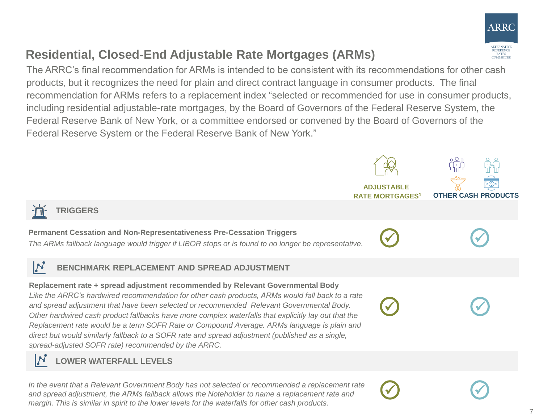

# **Residential, Closed-End Adjustable Rate Mortgages (ARMs)**

The ARRC's final recommendation for ARMs is intended to be consistent with its recommendations for other cash products, but it recognizes the need for plain and direct contract language in consumer products. The final recommendation for ARMs refers to a replacement index "selected or recommended for use in consumer products, including residential adjustable-rate mortgages, by the Board of Governors of the Federal Reserve System, the Federal Reserve Bank of New York, or a committee endorsed or convened by the Board of Governors of the Federal Reserve System or the Federal Reserve Bank of New York."

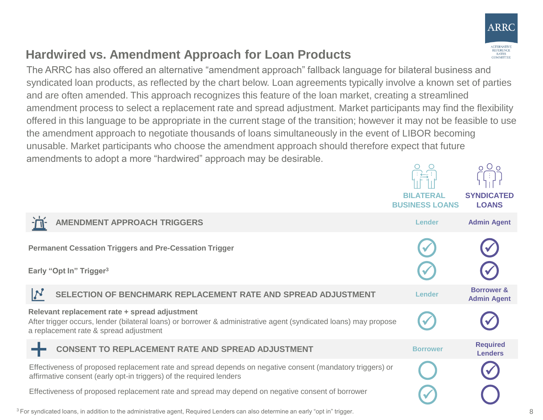

## **Hardwired vs. Amendment Approach for Loan Products**

The ARRC has also offered an alternative "amendment approach" fallback language for bilateral business and syndicated loan products, as reflected by the chart below. Loan agreements typically involve a known set of parties and are often amended. This approach recognizes this feature of the loan market, creating a streamlined amendment process to select a replacement rate and spread adjustment. Market participants may find the flexibility offered in this language to be appropriate in the current stage of the transition; however it may not be feasible to use the amendment approach to negotiate thousands of loans simultaneously in the event of LIBOR becoming unusable. Market participants who choose the amendment approach should therefore expect that future amendments to adopt a more "hardwired" approach may be desirable.

|                                                                                                                                                                                                             | <b>BILATERAL</b><br><b>BUSINESS LOANS</b> | $\circ \circ$<br><b>SYNDICATED</b><br><b>LOANS</b> |
|-------------------------------------------------------------------------------------------------------------------------------------------------------------------------------------------------------------|-------------------------------------------|----------------------------------------------------|
| <b>AMENDMENT APPROACH TRIGGERS</b>                                                                                                                                                                          | <b>Lender</b>                             | <b>Admin Agent</b>                                 |
| <b>Permanent Cessation Triggers and Pre-Cessation Trigger</b>                                                                                                                                               |                                           |                                                    |
| Early "Opt In" Trigger <sup>3</sup>                                                                                                                                                                         |                                           |                                                    |
| SELECTION OF BENCHMARK REPLACEMENT RATE AND SPREAD ADJUSTMENT                                                                                                                                               | Lender                                    | <b>Borrower &amp;</b><br><b>Admin Agent</b>        |
| Relevant replacement rate + spread adjustment<br>After trigger occurs, lender (bilateral loans) or borrower & administrative agent (syndicated loans) may propose<br>a replacement rate & spread adjustment |                                           |                                                    |
| <b>CONSENT TO REPLACEMENT RATE AND SPREAD ADJUSTMENT</b>                                                                                                                                                    | <b>Borrower</b>                           | <b>Required</b><br><b>Lenders</b>                  |
| Effectiveness of proposed replacement rate and spread depends on negative consent (mandatory triggers) or<br>affirmative consent (early opt-in triggers) of the required lenders                            |                                           |                                                    |
| Effectiveness of proposed replacement rate and spread may depend on negative consent of borrower                                                                                                            |                                           |                                                    |
| <sup>3</sup> For syndicated loans, in addition to the administrative agent, Required Lenders can also determine an early "opt in" trigger.                                                                  |                                           |                                                    |